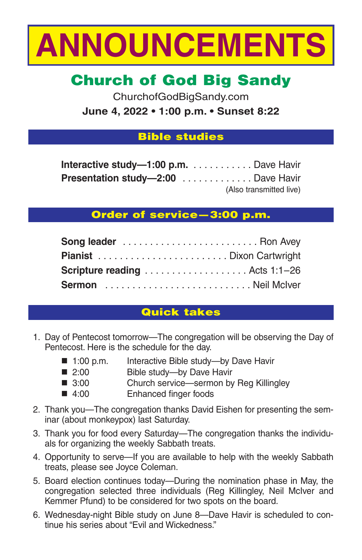

# **Church of God Big Sandy**

ChurchofGodBigSandy.com **June 4, 2022 • 1:00 p.m. • Sunset 8:22**

## **Bible studies**

| Interactive study-1:00 p.m. Dave Havir    |                         |
|-------------------------------------------|-------------------------|
| <b>Presentation study-2:00</b> Dave Havir |                         |
|                                           | (Also transmitted live) |

# **Order of service—3:00 p.m.**

| Scripture reading  Acts 1:1-26 |  |
|--------------------------------|--|
| Sermon Reil McIver             |  |

# **Quick takes**

- 1. Day of Pentecost tomorrow—The congregation will be observing the Day of Pentecost. Here is the schedule for the day.
	- 1:00 p.m. Interactive Bible study—by Dave Havir
	- 2:00 Bible study-by Dave Havir
	- 3:00 Church service—sermon by Reg Killingley
	- 4:00 Enhanced finger foods
- 2. Thank you—The congregation thanks David Eishen for presenting the seminar (about monkeypox) last Saturday.
- 3. Thank you for food every Saturday—The congregation thanks the individuals for organizing the weekly Sabbath treats.
- 4. Opportunity to serve—If you are available to help with the weekly Sabbath treats, please see Joyce Coleman.
- 5. Board election continues today—During the nomination phase in May, the congregation selected three individuals (Reg Killingley, Neil McIver and Kemmer Pfund) to be considered for two spots on the board.
- 6. Wednesday-night Bible study on June 8—Dave Havir is scheduled to continue his series about "Evil and Wickedness."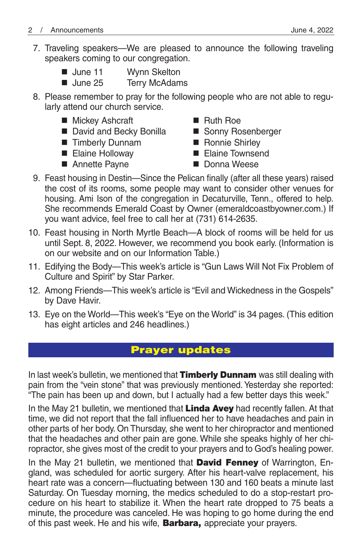7. Traveling speakers—We are pleased to announce the following traveling speakers coming to our congregation.

| $\blacksquare$ June 11 | Wynn Skelton |  |  |
|------------------------|--------------|--|--|
|                        |              |  |  |

- June 25 Terry McAdams
- 8. Please remember to pray for the following people who are not able to regularly attend our church service.
	- Mickey Ashcraft Ruth Roe
	- David and Becky Bonilla Sonny Rosenberger
	- Timberly Dunnam Ronnie Shirley
	-
	- Annette Payne Donna Weese
- 
- 
- - Elaine Holloway Elaine Townsend
		-
- 9. Feast housing in Destin—Since the Pelican finally (after all these years) raised the cost of its rooms, some people may want to consider other venues for housing. Ami Ison of the congregation in Decaturville, Tenn., offered to help. She recommends Emerald Coast by Owner (emeraldcoastbyowner.com.) If you want advice, feel free to call her at (731) 614-2635.
- 10. Feast housing in North Myrtle Beach—A block of rooms will be held for us until Sept. 8, 2022. However, we recommend you book early. (Information is on our website and on our Information Table.)
- 11. Edifying the Body—This week's article is "Gun Laws Will Not Fix Problem of Culture and Spirit" by Star Parker.
- 12. Among Friends—This week's article is "Evil and Wickedness in the Gospels" by Dave Havir.
- 13. Eye on the World—This week's "Eye on the World" is 34 pages. (This edition has eight articles and 246 headlines.)

# **Prayer updates**

In last week's bulletin, we mentioned that **Timberly Dunnam** was still dealing with pain from the "vein stone" that was previously mentioned. Yesterday she reported: "The pain has been up and down, but I actually had a few better days this week."

In the May 21 bulletin, we mentioned that **Linda Avey** had recently fallen. At that time, we did not report that the fall influenced her to have headaches and pain in other parts of her body. On Thursday, she went to her chiropractor and mentioned that the headaches and other pain are gone. While she speaks highly of her chiropractor, she gives most of the credit to your prayers and to God's healing power.

In the May 21 bulletin, we mentioned that **David Fenney** of Warrington, England, was scheduled for aortic surgery. After his heart-valve replacement, his heart rate was a concern—fluctuating between 130 and 160 beats a minute last Saturday. On Tuesday morning, the medics scheduled to do a stop-restart procedure on his heart to stabilize it. When the heart rate dropped to 75 beats a minute, the procedure was canceled. He was hoping to go home during the end of this past week. He and his wife, **Barbara,** appreciate your prayers.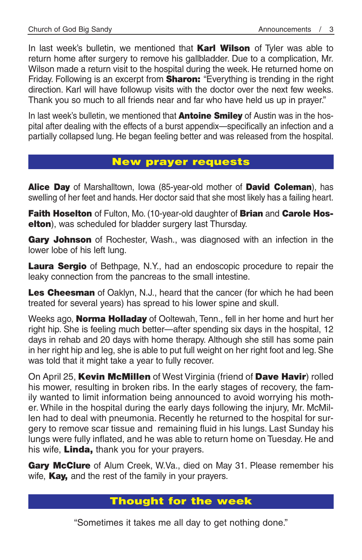In last week's bulletin, we mentioned that **Karl Wilson** of Tyler was able to return home after surgery to remove his gallbladder. Due to a complication, Mr. Wilson made a return visit to the hospital during the week. He returned home on Friday. Following is an excerpt from **Sharon:** "Everything is trending in the right direction. Karl will have followup visits with the doctor over the next few weeks. Thank you so much to all friends near and far who have held us up in prayer."

In last week's bulletin, we mentioned that **Antoine Smiley** of Austin was in the hospital after dealing with the effects of a burst appendix—specifically an infection and a partially collapsed lung. He began feeling better and was released from the hospital.

# **New prayer requests**

**Alice Day** of Marshalltown, Iowa (85-year-old mother of **David Coleman**), has swelling of her feet and hands. Her doctor said that she most likely has a failing heart.

**Faith Hoselton** of Fulton, Mo. (10-year-old daughter of **Brian** and **Carole Hoselton**), was scheduled for bladder surgery last Thursday.

**Gary Johnson** of Rochester, Wash., was diagnosed with an infection in the lower lobe of his left lung.

**Laura Sergio** of Bethpage, N.Y., had an endoscopic procedure to repair the leaky connection from the pancreas to the small intestine.

Les Cheesman of Oaklyn, N.J., heard that the cancer (for which he had been treated for several years) has spread to his lower spine and skull.

Weeks ago, **Norma Holladay** of Ooltewah, Tenn., fell in her home and hurt her right hip. She is feeling much better—after spending six days in the hospital, 12 days in rehab and 20 days with home therapy. Although she still has some pain in her right hip and leg, she is able to put full weight on her right foot and leg. She was told that it might take a year to fully recover.

On April 25, **Kevin McMillen** of West Virginia (friend of **Dave Havir**) rolled his mower, resulting in broken ribs. In the early stages of recovery, the family wanted to limit information being announced to avoid worrying his mother. While in the hospital during the early days following the injury, Mr. McMillen had to deal with pneumonia. Recently he returned to the hospital for surgery to remove scar tissue and remaining fluid in his lungs. Last Sunday his lungs were fully inflated, and he was able to return home on Tuesday. He and his wife, **Linda,** thank you for your prayers.

**Gary McClure** of Alum Creek, W.Va., died on May 31. Please remember his wife, **Kay,** and the rest of the family in your prayers.

## **Thought for the week**

"Sometimes it takes me all day to get nothing done."